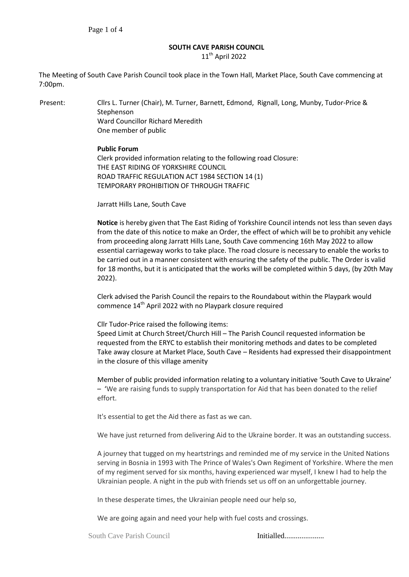# **SOUTH CAVE PARISH COUNCIL**

11<sup>th</sup> April 2022

The Meeting of South Cave Parish Council took place in the Town Hall, Market Place, South Cave commencing at 7:00pm.

Present: Cllrs L. Turner (Chair), M. Turner, Barnett, Edmond, Rignall, Long, Munby, Tudor-Price & Stephenson Ward Councillor Richard Meredith One member of public

### **Public Forum**

Clerk provided information relating to the following road Closure: THE EAST RIDING OF YORKSHIRE COUNCIL ROAD TRAFFIC REGULATION ACT 1984 SECTION 14 (1) TEMPORARY PROHIBITION OF THROUGH TRAFFIC

Jarratt Hills Lane, South Cave

**Notice** is hereby given that The East Riding of Yorkshire Council intends not less than seven days from the date of this notice to make an Order, the effect of which will be to prohibit any vehicle from proceeding along Jarratt Hills Lane, South Cave commencing 16th May 2022 to allow essential carriageway works to take place. The road closure is necessary to enable the works to be carried out in a manner consistent with ensuring the safety of the public. The Order is valid for 18 months, but it is anticipated that the works will be completed within 5 days, (by 20th May 2022).

Clerk advised the Parish Council the repairs to the Roundabout within the Playpark would commence 14<sup>th</sup> April 2022 with no Playpark closure required

Cllr Tudor-Price raised the following items:

Speed Limit at Church Street/Church Hill – The Parish Council requested information be requested from the ERYC to establish their monitoring methods and dates to be completed Take away closure at Market Place, South Cave – Residents had expressed their disappointment in the closure of this village amenity

Member of public provided information relating to a voluntary initiative 'South Cave to Ukraine' – 'We are raising funds to supply transportation for Aid that has been donated to the relief effort.

It's essential to get the Aid there as fast as we can.

We have just returned from delivering Aid to the Ukraine border. It was an outstanding success.

A journey that tugged on my heartstrings and reminded me of my service in the United Nations serving in Bosnia in 1993 with The Prince of Wales's Own Regiment of Yorkshire. Where the men of my regiment served for six months, having experienced war myself, I knew I had to help the Ukrainian people. A night in the pub with friends set us off on an unforgettable journey.

In these desperate times, the Ukrainian people need our help so,

We are going again and need your help with fuel costs and crossings.

South Cave Parish Council **Initialled...................**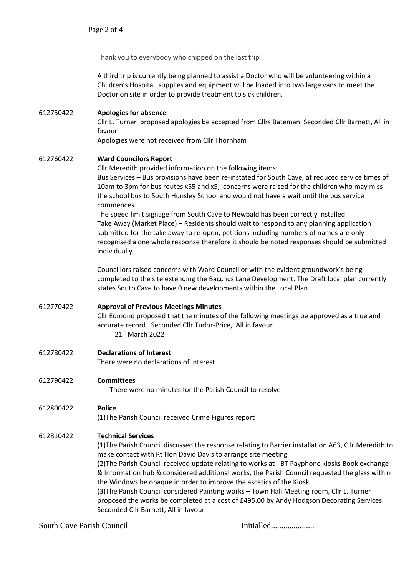Thank you to everybody who chipped on the last trip'

A third trip is currently being planned to assist a Doctor who will be volunteering within a Children's Hospital, supplies and equipment will be loaded into two large vans to meet the Doctor on site in order to provide treatment to sick children.

## 612750422 **Apologies for absence**

Cllr L. Turner proposed apologies be accepted from Cllrs Bateman, Seconded Cllr Barnett, All in favour

Apologies were not received from Cllr Thornham

### 612760422 **Ward Councilors Report**

Cllr Meredith provided information on the following items: Bus Services – Bus provisions have been re-instated for South Cave, at reduced service times of 10am to 3pm for bus routes x55 and x5, concerns were raised for the children who may miss the school bus to South Hunsley School and would not have a wait until the bus service commences

The speed limit signage from South Cave to Newbald has been correctly installed Take Away (Market Place) – Residents should wait to respond to any planning application submitted for the take away to re-open, petitions including numbers of names are only recognised a one whole response therefore it should be noted responses should be submitted individually.

Councillors raised concerns with Ward Councillor with the evident groundwork's being completed to the site extending the Bacchus Lane Development. The Draft local plan currently states South Cave to have 0 new developments within the Local Plan.

### 612770422 **Approval of Previous Meetings Minutes**

Cllr Edmond proposed that the minutes of the following meetings be approved as a true and accurate record. Seconded Cllr Tudor-Price, All in favour 21st March 2022

# 612780422 **Declarations of Interest**

There were no declarations of interest

### 612790422 **Committees**

There were no minutes for the Parish Council to resolve

# 612800422 **Police**

(1)The Parish Council received Crime Figures report

# 612810422 **Technical Services**

(1)The Parish Council discussed the response relating to Barrier installation A63, Cllr Meredith to make contact with Rt Hon David Davis to arrange site meeting

(2)The Parish Council received update relating to works at - BT Payphone kiosks Book exchange & Information hub & considered additional works, the Parish Council requested the glass within the Windows be opaque in order to improve the ascetics of the Kiosk

(3)The Parish Council considered Painting works – Town Hall Meeting room, Cllr L. Turner proposed the works be completed at a cost of £495.00 by Andy Hodgson Decorating Services. Seconded Cllr Barnett, All in favour

South Cave Parish Council Initialled.....................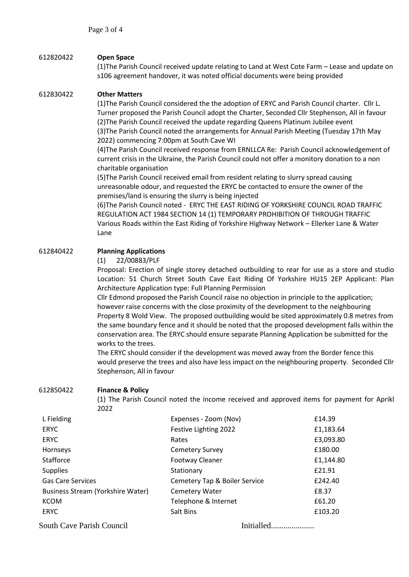## 612820422 **Open Space**

(1)The Parish Council received update relating to Land at West Cote Farm – Lease and update on s106 agreement handover, it was noted official documents were being provided

### 612830422 **Other Matters**

(1)The Parish Council considered the the adoption of ERYC and Parish Council charter. Cllr L. Turner proposed the Parish Council adopt the Charter, Seconded Cllr Stephenson, All in favour (2)The Parish Council received the update regarding Queens Platinum Jubilee event (3)The Parish Council noted the arrangements for Annual Parish Meeting (Tuesday 17th May 2022) commencing 7:00pm at South Cave WI

(4)The Parish Council received response from ERNLLCA Re: Parish Council acknowledgement of current crisis in the Ukraine, the Parish Council could not offer a monitory donation to a non charitable organisation

(5)The Parish Council received email from resident relating to slurry spread causing unreasonable odour, and requested the ERYC be contacted to ensure the owner of the premises/land is ensuring the slurry is being injected

(6)The Parish Council noted - ERYC THE EAST RIDING OF YORKSHIRE COUNCIL ROAD TRAFFIC REGULATION ACT 1984 SECTION 14 (1) TEMPORARY PROHIBITION OF THROUGH TRAFFIC Various Roads within the East Riding of Yorkshire Highway Network – Ellerker Lane & Water Lane

# 612840422 **Planning Applications**

(1) 22/00883/PLF

Proposal: Erection of single storey detached outbuilding to rear for use as a store and studio Location: 51 Church Street South Cave East Riding Of Yorkshire HU15 2EP Applicant: Plan Architecture Application type: Full Planning Permission

Cllr Edmond proposed the Parish Council raise no objection in principle to the application; however raise concerns with the close proximity of the development to the neighbouring Property 8 Wold View. The proposed outbuilding would be sited approximately 0.8 metres from the same boundary fence and it should be noted that the proposed development falls within the conservation area. The ERYC should ensure separate Planning Application be submitted for the works to the trees.

The ERYC should consider if the development was moved away from the Border fence this would preserve the trees and also have less impact on the neighbouring property. Seconded Cllr Stephenson, All in favour

### 612850422 **Finance & Policy**

(1) The Parish Council noted the income received and approved items for payment for Aprikl 2022

| L Fielding                        | Expenses - Zoom (Nov)         | £14.39    |
|-----------------------------------|-------------------------------|-----------|
| <b>ERYC</b>                       | Festive Lighting 2022         | £1,183.64 |
| <b>ERYC</b>                       | Rates                         | £3,093.80 |
| Hornseys                          | <b>Cemetery Survey</b>        | £180.00   |
| Stafforce                         | <b>Footway Cleaner</b>        | £1,144.80 |
| <b>Supplies</b>                   | Stationary                    | £21.91    |
| <b>Gas Care Services</b>          | Cemetery Tap & Boiler Service | £242.40   |
| Business Stream (Yorkshire Water) | <b>Cemetery Water</b>         | £8.37     |
| <b>KCOM</b>                       | Telephone & Internet          | £61.20    |
| <b>ERYC</b>                       | Salt Bins                     | £103.20   |

South Cave Parish Council Initialled.....................